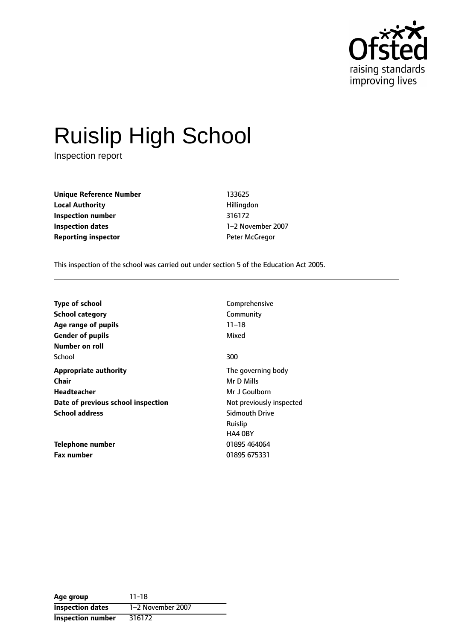

# Ruislip High School

Inspection report

**Unique Reference Number** 133625 **Local Authority Hillingdon Inspection number** 316172 **Inspection dates** 1-2 November 2007 **Reporting inspector CONFIDENTIFY REPORTING** Peter McGregor

This inspection of the school was carried out under section 5 of the Education Act 2005.

| <b>Type of school</b>              | Comprehensive            |
|------------------------------------|--------------------------|
| <b>School category</b>             | Community                |
| Age range of pupils                | $11 - 18$                |
| <b>Gender of pupils</b>            | Mixed                    |
| Number on roll                     |                          |
| School                             | 300                      |
| <b>Appropriate authority</b>       | The governing body       |
| Chair                              | Mr D Mills               |
| Headteacher                        | Mr J Goulborn            |
| Date of previous school inspection | Not previously inspected |
| <b>School address</b>              | <b>Sidmouth Drive</b>    |
|                                    | Ruislip                  |
|                                    | HA4 0BY                  |
| Telephone number                   | 01895 464064             |
| <b>Fax number</b>                  | 01895 675331             |

| Age group                | $11 - 18$         |
|--------------------------|-------------------|
| <b>Inspection dates</b>  | 1-2 November 2007 |
| <b>Inspection number</b> | 316172            |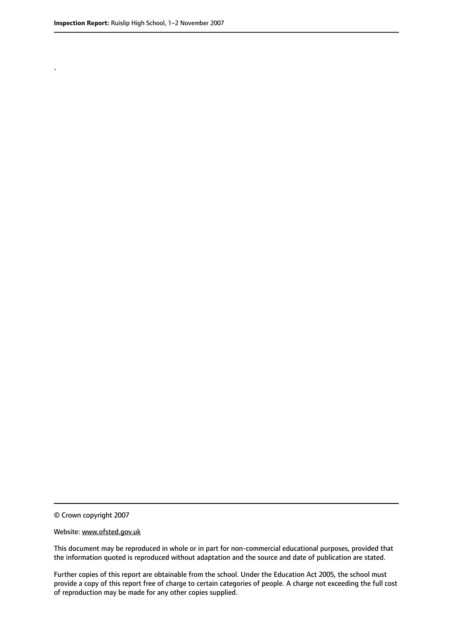.

© Crown copyright 2007

#### Website: www.ofsted.gov.uk

This document may be reproduced in whole or in part for non-commercial educational purposes, provided that the information quoted is reproduced without adaptation and the source and date of publication are stated.

Further copies of this report are obtainable from the school. Under the Education Act 2005, the school must provide a copy of this report free of charge to certain categories of people. A charge not exceeding the full cost of reproduction may be made for any other copies supplied.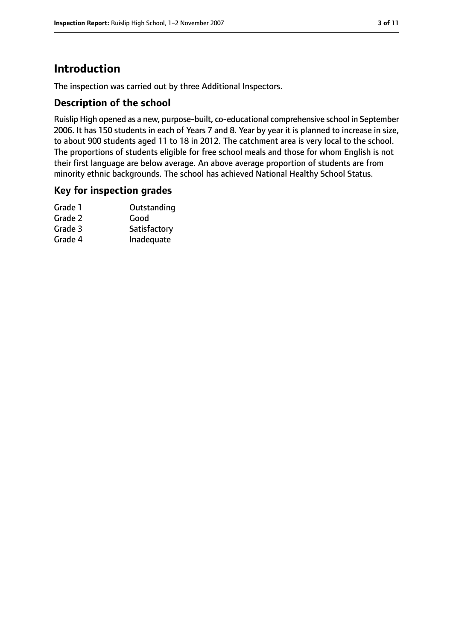# **Introduction**

The inspection was carried out by three Additional Inspectors.

## **Description of the school**

Ruislip High opened as a new, purpose-built, co-educational comprehensive school in September 2006. It has 150 students in each of Years 7 and 8. Year by year it is planned to increase in size, to about 900 students aged 11 to 18 in 2012. The catchment area is very local to the school. The proportions of students eligible for free school meals and those for whom English is not their first language are below average. An above average proportion of students are from minority ethnic backgrounds. The school has achieved National Healthy School Status.

### **Key for inspection grades**

| Grade 1 | Outstanding  |
|---------|--------------|
| Grade 2 | Good         |
| Grade 3 | Satisfactory |
| Grade 4 | Inadequate   |
|         |              |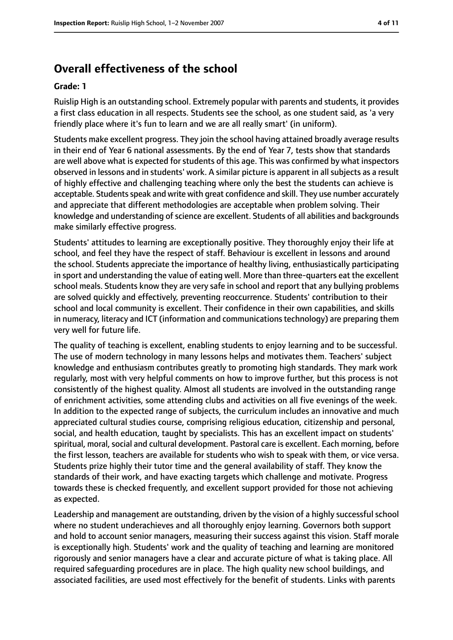# **Overall effectiveness of the school**

#### **Grade: 1**

Ruislip High is an outstanding school. Extremely popular with parents and students, it provides a first class education in all respects. Students see the school, as one student said, as 'a very friendly place where it's fun to learn and we are all really smart' (in uniform).

Students make excellent progress. They join the school having attained broadly average results in their end of Year 6 national assessments. By the end of Year 7, tests show that standards are well above what is expected for students of this age. This was confirmed by what inspectors observed in lessons and in students' work. A similar picture is apparent in all subjects as a result of highly effective and challenging teaching where only the best the students can achieve is acceptable. Students speak and write with great confidence and skill. They use number accurately and appreciate that different methodologies are acceptable when problem solving. Their knowledge and understanding of science are excellent. Students of all abilities and backgrounds make similarly effective progress.

Students' attitudes to learning are exceptionally positive. They thoroughly enjoy their life at school, and feel they have the respect of staff. Behaviour is excellent in lessons and around the school. Students appreciate the importance of healthy living, enthusiastically participating in sport and understanding the value of eating well. More than three-quarters eat the excellent school meals. Students know they are very safe in school and report that any bullying problems are solved quickly and effectively, preventing reoccurrence. Students' contribution to their school and local community is excellent. Their confidence in their own capabilities, and skills in numeracy, literacy and ICT (information and communications technology) are preparing them very well for future life.

The quality of teaching is excellent, enabling students to enjoy learning and to be successful. The use of modern technology in many lessons helps and motivates them. Teachers' subject knowledge and enthusiasm contributes greatly to promoting high standards. They mark work regularly, most with very helpful comments on how to improve further, but this process is not consistently of the highest quality. Almost all students are involved in the outstanding range of enrichment activities, some attending clubs and activities on all five evenings of the week. In addition to the expected range of subjects, the curriculum includes an innovative and much appreciated cultural studies course, comprising religious education, citizenship and personal, social, and health education, taught by specialists. This has an excellent impact on students' spiritual, moral, social and cultural development. Pastoral care is excellent. Each morning, before the first lesson, teachers are available for students who wish to speak with them, or vice versa. Students prize highly their tutor time and the general availability of staff. They know the standards of their work, and have exacting targets which challenge and motivate. Progress towards these is checked frequently, and excellent support provided for those not achieving as expected.

Leadership and management are outstanding, driven by the vision of a highly successful school where no student underachieves and all thoroughly enjoy learning. Governors both support and hold to account senior managers, measuring their success against this vision. Staff morale is exceptionally high. Students' work and the quality of teaching and learning are monitored rigorously and senior managers have a clear and accurate picture of what is taking place. All required safeguarding procedures are in place. The high quality new school buildings, and associated facilities, are used most effectively for the benefit of students. Links with parents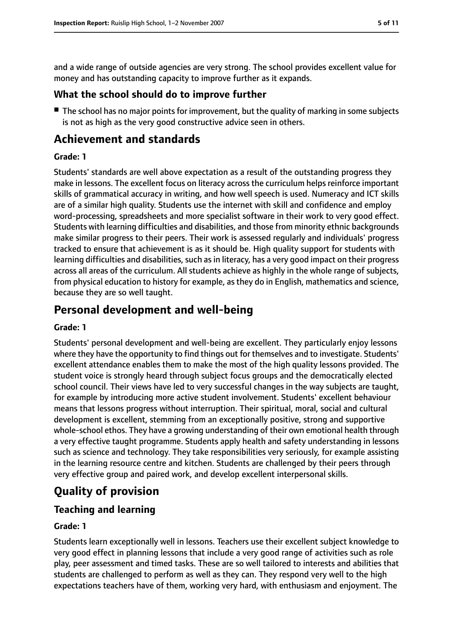and a wide range of outside agencies are very strong. The school provides excellent value for money and has outstanding capacity to improve further as it expands.

## **What the school should do to improve further**

■ The school has no major points for improvement, but the quality of marking in some subjects is not as high as the very good constructive advice seen in others.

# **Achievement and standards**

#### **Grade: 1**

Students' standards are well above expectation as a result of the outstanding progress they make in lessons. The excellent focus on literacy across the curriculum helps reinforce important skills of grammatical accuracy in writing, and how well speech is used. Numeracy and ICT skills are of a similar high quality. Students use the internet with skill and confidence and employ word-processing, spreadsheets and more specialist software in their work to very good effect. Students with learning difficulties and disabilities, and those from minority ethnic backgrounds make similar progress to their peers. Their work is assessed regularly and individuals' progress tracked to ensure that achievement is as it should be. High quality support for students with learning difficulties and disabilities, such as in literacy, has a very good impact on their progress across all areas of the curriculum. All students achieve as highly in the whole range of subjects, from physical education to history for example, as they do in English, mathematics and science, because they are so well taught.

# **Personal development and well-being**

#### **Grade: 1**

Students' personal development and well-being are excellent. They particularly enjoy lessons where they have the opportunity to find things out for themselves and to investigate. Students' excellent attendance enables them to make the most of the high quality lessons provided. The student voice is strongly heard through subject focus groups and the democratically elected school council. Their views have led to very successful changes in the way subjects are taught, for example by introducing more active student involvement. Students' excellent behaviour means that lessons progress without interruption. Their spiritual, moral, social and cultural development is excellent, stemming from an exceptionally positive, strong and supportive whole-school ethos. They have a growing understanding of their own emotional health through a very effective taught programme. Students apply health and safety understanding in lessons such as science and technology. They take responsibilities very seriously, for example assisting in the learning resource centre and kitchen. Students are challenged by their peers through very effective group and paired work, and develop excellent interpersonal skills.

# **Quality of provision**

## **Teaching and learning**

#### **Grade: 1**

Students learn exceptionally well in lessons. Teachers use their excellent subject knowledge to very good effect in planning lessons that include a very good range of activities such as role play, peer assessment and timed tasks. These are so well tailored to interests and abilities that students are challenged to perform as well as they can. They respond very well to the high expectations teachers have of them, working very hard, with enthusiasm and enjoyment. The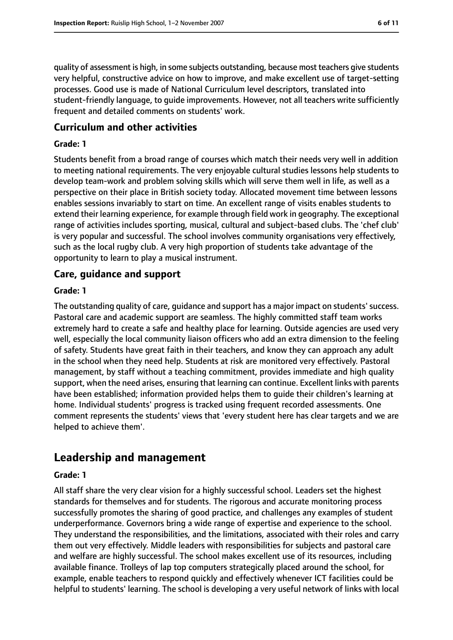quality of assessment is high, in some subjects outstanding, because most teachers give students very helpful, constructive advice on how to improve, and make excellent use of target-setting processes. Good use is made of National Curriculum level descriptors, translated into student-friendly language, to guide improvements. However, not all teachers write sufficiently frequent and detailed comments on students' work.

#### **Curriculum and other activities**

#### **Grade: 1**

Students benefit from a broad range of courses which match their needs very well in addition to meeting national requirements. The very enjoyable cultural studies lessons help students to develop team-work and problem solving skills which will serve them well in life, as well as a perspective on their place in British society today. Allocated movement time between lessons enables sessions invariably to start on time. An excellent range of visits enables students to extend their learning experience, for example through field work in geography. The exceptional range of activities includes sporting, musical, cultural and subject-based clubs. The 'chef club' is very popular and successful. The school involves community organisations very effectively, such as the local rugby club. A very high proportion of students take advantage of the opportunity to learn to play a musical instrument.

#### **Care, guidance and support**

#### **Grade: 1**

The outstanding quality of care, guidance and support has a major impact on students'success. Pastoral care and academic support are seamless. The highly committed staff team works extremely hard to create a safe and healthy place for learning. Outside agencies are used very well, especially the local community liaison officers who add an extra dimension to the feeling of safety. Students have great faith in their teachers, and know they can approach any adult in the school when they need help. Students at risk are monitored very effectively. Pastoral management, by staff without a teaching commitment, provides immediate and high quality support, when the need arises, ensuring that learning can continue. Excellent links with parents have been established; information provided helps them to guide their children's learning at home. Individual students' progress is tracked using frequent recorded assessments. One comment represents the students' views that 'every student here has clear targets and we are helped to achieve them'.

# **Leadership and management**

#### **Grade: 1**

All staff share the very clear vision for a highly successful school. Leaders set the highest standards for themselves and for students. The rigorous and accurate monitoring process successfully promotes the sharing of good practice, and challenges any examples of student underperformance. Governors bring a wide range of expertise and experience to the school. They understand the responsibilities, and the limitations, associated with their roles and carry them out very effectively. Middle leaders with responsibilities for subjects and pastoral care and welfare are highly successful. The school makes excellent use of its resources, including available finance. Trolleys of lap top computers strategically placed around the school, for example, enable teachers to respond quickly and effectively whenever ICT facilities could be helpful to students' learning. The school is developing a very useful network of links with local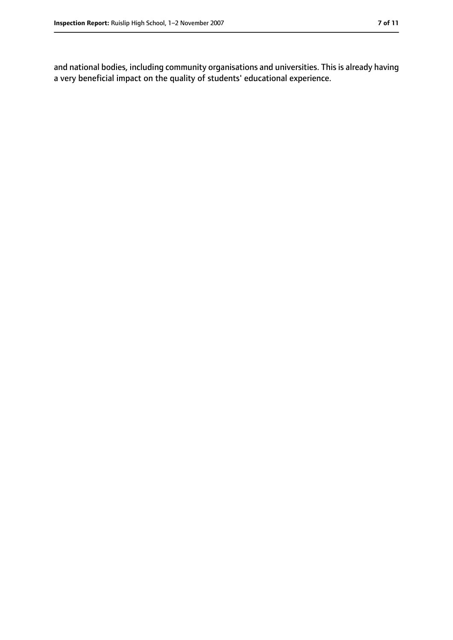and national bodies, including community organisations and universities. This is already having a very beneficial impact on the quality of students' educational experience.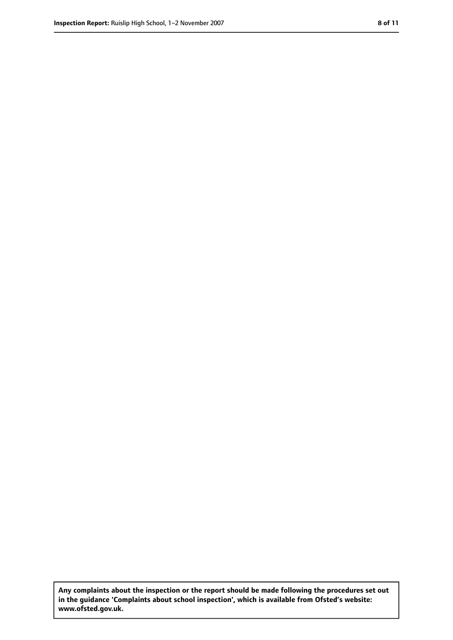**Any complaints about the inspection or the report should be made following the procedures set out in the guidance 'Complaints about school inspection', which is available from Ofsted's website: www.ofsted.gov.uk.**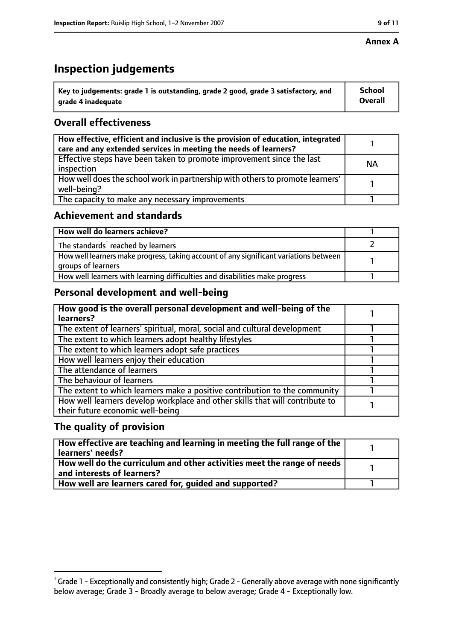#### **Annex A**

# **Inspection judgements**

| $^{\backprime}$ Key to judgements: grade 1 is outstanding, grade 2 good, grade 3 satisfactory, and | <b>School</b>  |
|----------------------------------------------------------------------------------------------------|----------------|
| arade 4 inadequate                                                                                 | <b>Overall</b> |

## **Overall effectiveness**

| How effective, efficient and inclusive is the provision of education, integrated<br>care and any extended services in meeting the needs of learners? |    |
|------------------------------------------------------------------------------------------------------------------------------------------------------|----|
| Effective steps have been taken to promote improvement since the last<br>inspection                                                                  | ΝA |
| How well does the school work in partnership with others to promote learners'<br>well-being?                                                         |    |
| The capacity to make any necessary improvements                                                                                                      |    |

## **Achievement and standards**

| How well do learners achieve?                                                                               |  |
|-------------------------------------------------------------------------------------------------------------|--|
| The standards <sup>1</sup> reached by learners                                                              |  |
| How well learners make progress, taking account of any significant variations between<br>groups of learners |  |
| How well learners with learning difficulties and disabilities make progress                                 |  |

# **Personal development and well-being**

| How good is the overall personal development and well-being of the<br>learners?                                  |  |
|------------------------------------------------------------------------------------------------------------------|--|
| The extent of learners' spiritual, moral, social and cultural development                                        |  |
| The extent to which learners adopt healthy lifestyles                                                            |  |
| The extent to which learners adopt safe practices                                                                |  |
| How well learners enjoy their education                                                                          |  |
| The attendance of learners                                                                                       |  |
| The behaviour of learners                                                                                        |  |
| The extent to which learners make a positive contribution to the community                                       |  |
| How well learners develop workplace and other skills that will contribute to<br>their future economic well-being |  |

## **The quality of provision**

| $\mid$ How effective are teaching and learning in meeting the full range of the $\mid$<br>learners' needs? |  |
|------------------------------------------------------------------------------------------------------------|--|
| How well do the curriculum and other activities meet the range of needs  <br>and interests of learners?    |  |
| How well are learners cared for, guided and supported?                                                     |  |

 $^1$  Grade 1 - Exceptionally and consistently high; Grade 2 - Generally above average with none significantly below average; Grade 3 - Broadly average to below average; Grade 4 - Exceptionally low.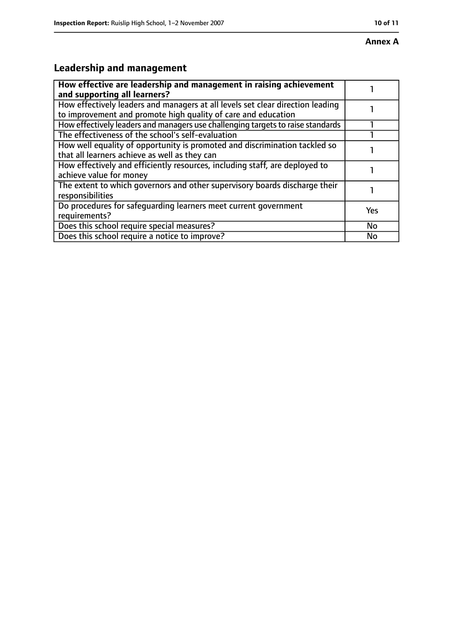#### **Annex A**

# **Leadership and management**

| How effective are leadership and management in raising achievement<br>and supporting all learners?                                              |           |
|-------------------------------------------------------------------------------------------------------------------------------------------------|-----------|
| How effectively leaders and managers at all levels set clear direction leading<br>to improvement and promote high quality of care and education |           |
| How effectively leaders and managers use challenging targets to raise standards                                                                 |           |
| The effectiveness of the school's self-evaluation                                                                                               |           |
| How well equality of opportunity is promoted and discrimination tackled so<br>that all learners achieve as well as they can                     |           |
| How effectively and efficiently resources, including staff, are deployed to<br>achieve value for money                                          |           |
| The extent to which governors and other supervisory boards discharge their<br>responsibilities                                                  |           |
| Do procedures for safequarding learners meet current government<br>requirements?                                                                | Yes       |
| Does this school require special measures?                                                                                                      | <b>No</b> |
| Does this school require a notice to improve?                                                                                                   | No        |